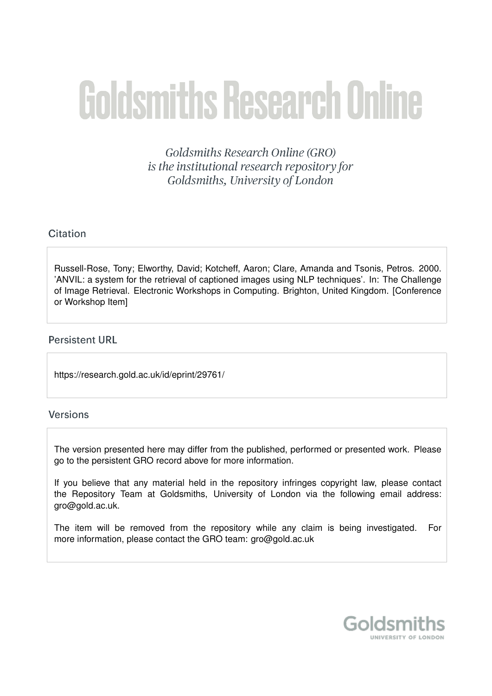# **Goldsmiths Research Online**

Goldsmiths Research Online (GRO) is the institutional research repository for Goldsmiths, University of London

# Citation

Russell-Rose, Tony; Elworthy, David; Kotcheff, Aaron; Clare, Amanda and Tsonis, Petros. 2000. 'ANVIL: a system for the retrieval of captioned images using NLP techniques'. In: The Challenge of Image Retrieval. Electronic Workshops in Computing. Brighton, United Kingdom. [Conference or Workshop Item]

# **Persistent URL**

https://research.gold.ac.uk/id/eprint/29761/

# **Versions**

The version presented here may differ from the published, performed or presented work. Please go to the persistent GRO record above for more information.

If you believe that any material held in the repository infringes copyright law, please contact the Repository Team at Goldsmiths, University of London via the following email address: gro@gold.ac.uk.

The item will be removed from the repository while any claim is being investigated. For more information, please contact the GRO team: gro@gold.ac.uk

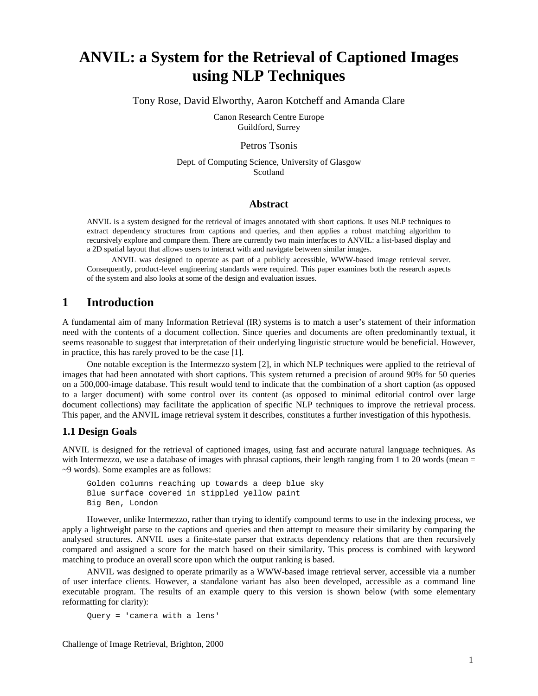# **ANVIL: a System for the Retrieval of Captioned Images using NLP Techniques**

Tony Rose, David Elworthy, Aaron Kotcheff and Amanda Clare

Canon Research Centre Europe Guildford, Surrey

## Petros Tsonis

Dept. of Computing Science, University of Glasgow Scotland

## **Abstract**

ANVIL is a system designed for the retrieval of images annotated with short captions. It uses NLP techniques to extract dependency structures from captions and queries, and then applies a robust matching algorithm to recursively explore and compare them. There are currently two main interfaces to ANVIL: a list-based display and a 2D spatial layout that allows users to interact with and navigate between similar images.

ANVIL was designed to operate as part of a publicly accessible, WWW-based image retrieval server. Consequently, product-level engineering standards were required. This paper examines both the research aspects of the system and also looks at some of the design and evaluation issues.

# **1 Introduction**

A fundamental aim of many Information Retrieval (IR) systems is to match a user's statement of their information need with the contents of a document collection. Since queries and documents are often predominantly textual, it seems reasonable to suggest that interpretation of their underlying linguistic structure would be beneficial. However, in practice, this has rarely proved to be the case [1].

One notable exception is the Intermezzo system [2], in which NLP techniques were applied to the retrieval of images that had been annotated with short captions. This system returned a precision of around 90% for 50 queries on a 500,000-image database. This result would tend to indicate that the combination of a short caption (as opposed to a larger document) with some control over its content (as opposed to minimal editorial control over large document collections) may facilitate the application of specific NLP techniques to improve the retrieval process. This paper, and the ANVIL image retrieval system it describes, constitutes a further investigation of this hypothesis.

## **1.1 Design Goals**

ANVIL is designed for the retrieval of captioned images, using fast and accurate natural language techniques. As with Intermezzo, we use a database of images with phrasal captions, their length ranging from 1 to 20 words (mean = ~9 words). Some examples are as follows:

```
Golden columns reaching up towards a deep blue sky
Blue surface covered in stippled yellow paint
Big Ben, London
```
However, unlike Intermezzo, rather than trying to identify compound terms to use in the indexing process, we apply a lightweight parse to the captions and queries and then attempt to measure their similarity by comparing the analysed structures. ANVIL uses a finite-state parser that extracts dependency relations that are then recursively compared and assigned a score for the match based on their similarity. This process is combined with keyword matching to produce an overall score upon which the output ranking is based.

ANVIL was designed to operate primarily as a WWW-based image retrieval server, accessible via a number of user interface clients. However, a standalone variant has also been developed, accessible as a command line executable program. The results of an example query to this version is shown below (with some elementary reformatting for clarity):

```
Query = 'camera with a lens'
```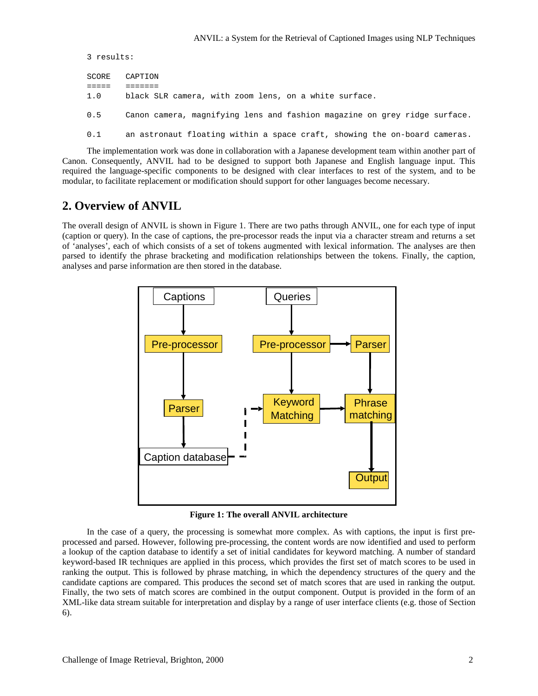```
3 results:
SCORE CAPTION
===== =======
1.0 black SLR camera, with zoom lens, on a white surface.
0.5 Canon camera, magnifying lens and fashion magazine on grey ridge surface.
0.1 an astronaut floating within a space craft, showing the on-board cameras.
```
The implementation work was done in collaboration with a Japanese development team within another part of Canon. Consequently, ANVIL had to be designed to support both Japanese and English language input. This required the language-specific components to be designed with clear interfaces to rest of the system, and to be modular, to facilitate replacement or modification should support for other languages become necessary.

# **2. Overview of ANVIL**

The overall design of ANVIL is shown in Figure 1. There are two paths through ANVIL, one for each type of input (caption or query). In the case of captions, the pre-processor reads the input via a character stream and returns a set of 'analyses', each of which consists of a set of tokens augmented with lexical information. The analyses are then parsed to identify the phrase bracketing and modification relationships between the tokens. Finally, the caption, analyses and parse information are then stored in the database.



**Figure 1: The overall ANVIL architecture**

In the case of a query, the processing is somewhat more complex. As with captions, the input is first preprocessed and parsed. However, following pre-processing, the content words are now identified and used to perform a lookup of the caption database to identify a set of initial candidates for keyword matching. A number of standard keyword-based IR techniques are applied in this process, which provides the first set of match scores to be used in ranking the output. This is followed by phrase matching, in which the dependency structures of the query and the candidate captions are compared. This produces the second set of match scores that are used in ranking the output. Finally, the two sets of match scores are combined in the output component. Output is provided in the form of an XML-like data stream suitable for interpretation and display by a range of user interface clients (e.g. those of Section 6).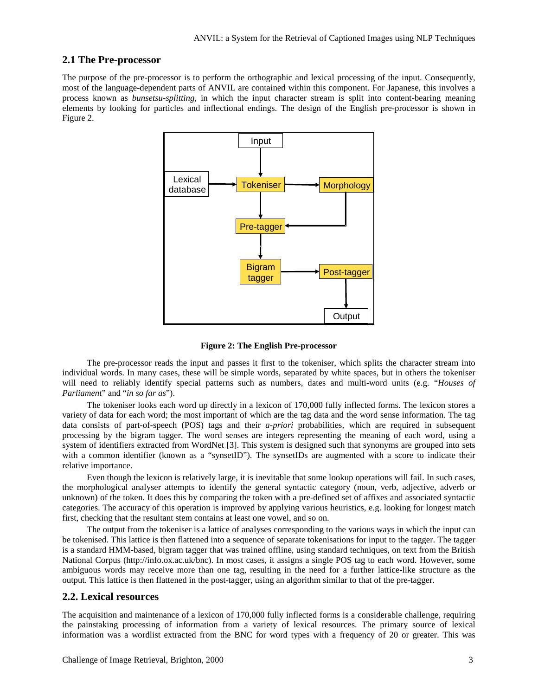## **2.1 The Pre-processor**

The purpose of the pre-processor is to perform the orthographic and lexical processing of the input. Consequently, most of the language-dependent parts of ANVIL are contained within this component. For Japanese, this involves a process known as *bunsetsu-splitting*, in which the input character stream is split into content-bearing meaning elements by looking for particles and inflectional endings. The design of the English pre-processor is shown in Figure 2.





The pre-processor reads the input and passes it first to the tokeniser, which splits the character stream into individual words. In many cases, these will be simple words, separated by white spaces, but in others the tokeniser will need to reliably identify special patterns such as numbers, dates and multi-word units (e.g. "*Houses of Parliament*" and "*in so far as*").

The tokeniser looks each word up directly in a lexicon of 170,000 fully inflected forms. The lexicon stores a variety of data for each word; the most important of which are the tag data and the word sense information. The tag data consists of part-of-speech (POS) tags and their *a-priori* probabilities, which are required in subsequent processing by the bigram tagger. The word senses are integers representing the meaning of each word, using a system of identifiers extracted from WordNet [3]. This system is designed such that synonyms are grouped into sets with a common identifier (known as a "synsetID"). The synsetIDs are augmented with a score to indicate their relative importance.

Even though the lexicon is relatively large, it is inevitable that some lookup operations will fail. In such cases, the morphological analyser attempts to identify the general syntactic category (noun, verb, adjective, adverb or unknown) of the token. It does this by comparing the token with a pre-defined set of affixes and associated syntactic categories. The accuracy of this operation is improved by applying various heuristics, e.g. looking for longest match first, checking that the resultant stem contains at least one vowel, and so on.

The output from the tokeniser is a lattice of analyses corresponding to the various ways in which the input can be tokenised. This lattice is then flattened into a sequence of separate tokenisations for input to the tagger. The tagger is a standard HMM-based, bigram tagger that was trained offline, using standard techniques, on text from the British National Corpus (http://info.ox.ac.uk/bnc). In most cases, it assigns a single POS tag to each word. However, some ambiguous words may receive more than one tag, resulting in the need for a further lattice-like structure as the output. This lattice is then flattened in the post-tagger, using an algorithm similar to that of the pre-tagger.

## **2.2. Lexical resources**

The acquisition and maintenance of a lexicon of 170,000 fully inflected forms is a considerable challenge, requiring the painstaking processing of information from a variety of lexical resources. The primary source of lexical information was a wordlist extracted from the BNC for word types with a frequency of 20 or greater. This was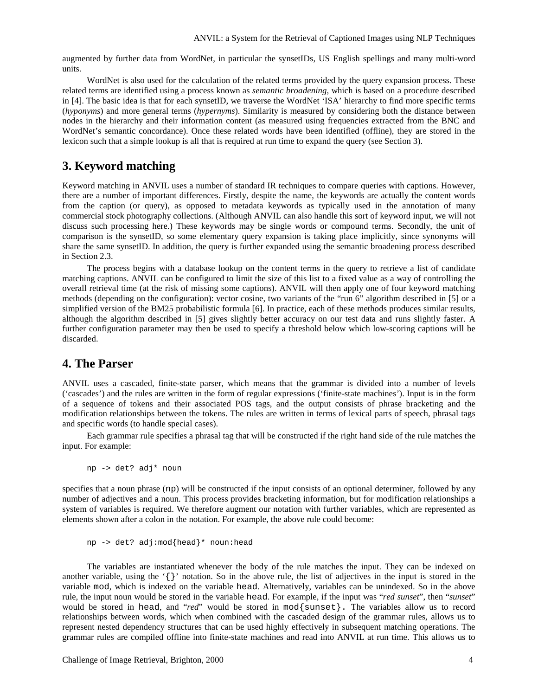augmented by further data from WordNet, in particular the synsetIDs, US English spellings and many multi-word units.

WordNet is also used for the calculation of the related terms provided by the query expansion process. These related terms are identified using a process known as *semantic broadening*, which is based on a procedure described in [4]. The basic idea is that for each synsetID, we traverse the WordNet 'ISA' hierarchy to find more specific terms (*hyponyms*) and more general terms (*hypernyms*). Similarity is measured by considering both the distance between nodes in the hierarchy and their information content (as measured using frequencies extracted from the BNC and WordNet's semantic concordance). Once these related words have been identified (offline), they are stored in the lexicon such that a simple lookup is all that is required at run time to expand the query (see Section 3).

# **3. Keyword matching**

Keyword matching in ANVIL uses a number of standard IR techniques to compare queries with captions. However, there are a number of important differences. Firstly, despite the name, the keywords are actually the content words from the caption (or query), as opposed to metadata keywords as typically used in the annotation of many commercial stock photography collections. (Although ANVIL can also handle this sort of keyword input, we will not discuss such processing here.) These keywords may be single words or compound terms. Secondly, the unit of comparison is the synsetID, so some elementary query expansion is taking place implicitly, since synonyms will share the same synsetID. In addition, the query is further expanded using the semantic broadening process described in Section 2.3.

The process begins with a database lookup on the content terms in the query to retrieve a list of candidate matching captions. ANVIL can be configured to limit the size of this list to a fixed value as a way of controlling the overall retrieval time (at the risk of missing some captions). ANVIL will then apply one of four keyword matching methods (depending on the configuration): vector cosine, two variants of the "run 6" algorithm described in [5] or a simplified version of the BM25 probabilistic formula [6]. In practice, each of these methods produces similar results, although the algorithm described in [5] gives slightly better accuracy on our test data and runs slightly faster. A further configuration parameter may then be used to specify a threshold below which low-scoring captions will be discarded.

# **4. The Parser**

ANVIL uses a cascaded, finite-state parser, which means that the grammar is divided into a number of levels ('cascades') and the rules are written in the form of regular expressions ('finite-state machines'). Input is in the form of a sequence of tokens and their associated POS tags, and the output consists of phrase bracketing and the modification relationships between the tokens. The rules are written in terms of lexical parts of speech, phrasal tags and specific words (to handle special cases).

Each grammar rule specifies a phrasal tag that will be constructed if the right hand side of the rule matches the input. For example:

np -> det? adj\* noun

specifies that a noun phrase (np) will be constructed if the input consists of an optional determiner, followed by any number of adjectives and a noun. This process provides bracketing information, but for modification relationships a system of variables is required. We therefore augment our notation with further variables, which are represented as elements shown after a colon in the notation. For example, the above rule could become:

```
np -> det? adj:mod{head}* noun:head
```
The variables are instantiated whenever the body of the rule matches the input. They can be indexed on another variable, using the  $\{\}$  notation. So in the above rule, the list of adjectives in the input is stored in the variable mod, which is indexed on the variable head. Alternatively, variables can be unindexed. So in the above rule, the input noun would be stored in the variable head. For example, if the input was "*red sunset*", then "*sunset*" would be stored in head, and "*red*" would be stored in mod{sunset}. The variables allow us to record relationships between words, which when combined with the cascaded design of the grammar rules, allows us to represent nested dependency structures that can be used highly effectively in subsequent matching operations. The grammar rules are compiled offline into finite-state machines and read into ANVIL at run time. This allows us to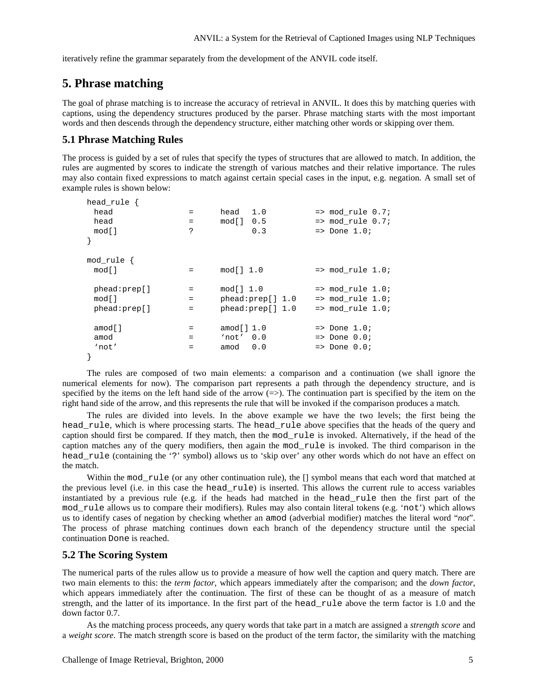iteratively refine the grammar separately from the development of the ANVIL code itself.

# **5. Phrase matching**

The goal of phrase matching is to increase the accuracy of retrieval in ANVIL. It does this by matching queries with captions, using the dependency structures produced by the parser. Phrase matching starts with the most important words and then descends through the dependency structure, either matching other words or skipping over them.

## **5.1 Phrase Matching Rules**

The process is guided by a set of rules that specify the types of structures that are allowed to match. In addition, the rules are augmented by scores to indicate the strength of various matches and their relative importance. The rules may also contain fixed expressions to match against certain special cases in the input, e.g. negation. A small set of example rules is shown below:

| head rule $\{$  |                                |                  |                                |
|-----------------|--------------------------------|------------------|--------------------------------|
| head            | $=$                            | 1.0<br>head      | $\Rightarrow$ mod_rule $0.7$ ; |
| head            | $=$                            | $mod[]$ 0.5      | $\Rightarrow$ mod rule 0.7;    |
| mod[]           | ?                              | 0.3              | $\Rightarrow$ Done 1.0;        |
| $\}$            |                                |                  |                                |
| $mod$ rule $\{$ |                                |                  |                                |
| mod[]           | $=$                            | mod[] 1.0        | $\Rightarrow$ mod rule 1.0;    |
| phead:prep[]    | $=$                            | mod11.0          | $\Rightarrow$ mod rule 1.0;    |
| mod[]           | $=$                            | phead:prep[] 1.0 | $\Rightarrow$ mod rule 1.0;    |
| phead:prep[]    | $\qquad \qquad =\qquad \qquad$ | phead:prep[] 1.0 | $\Rightarrow$ mod rule 1.0;    |
| amod[]          | $=$                            | amod $[]$ 1.0    | $\Rightarrow$ Done 1.0;        |
| amod            | $=$                            | 'not' 0.0        | $=$ Done $0.07$                |
| 'not'           | $=$                            | 0.0<br>amod      | $=$ Done $0.07$                |
|                 |                                |                  |                                |

The rules are composed of two main elements: a comparison and a continuation (we shall ignore the numerical elements for now). The comparison part represents a path through the dependency structure, and is specified by the items on the left hand side of the arrow  $(\Rightarrow)$ . The continuation part is specified by the item on the right hand side of the arrow, and this represents the rule that will be invoked if the comparison produces a match.

The rules are divided into levels. In the above example we have the two levels; the first being the head\_rule, which is where processing starts. The head\_rule above specifies that the heads of the query and caption should first be compared. If they match, then the mod\_rule is invoked. Alternatively, if the head of the caption matches any of the query modifiers, then again the mod\_rule is invoked. The third comparison in the head\_rule (containing the '?' symbol) allows us to 'skip over' any other words which do not have an effect on the match.

Within the mod rule (or any other continuation rule), the [] symbol means that each word that matched at the previous level (i.e. in this case the head\_rule) is inserted. This allows the current rule to access variables instantiated by a previous rule (e.g. if the heads had matched in the head\_rule then the first part of the mod\_rule allows us to compare their modifiers). Rules may also contain literal tokens (e.g. 'not') which allows us to identify cases of negation by checking whether an amod (adverbial modifier) matches the literal word "*not*". The process of phrase matching continues down each branch of the dependency structure until the special continuation Done is reached.

## **5.2 The Scoring System**

The numerical parts of the rules allow us to provide a measure of how well the caption and query match. There are two main elements to this: the *term factor*, which appears immediately after the comparison; and the *down factor*, which appears immediately after the continuation. The first of these can be thought of as a measure of match strength, and the latter of its importance. In the first part of the head\_rule above the term factor is 1.0 and the down factor 0.7.

As the matching process proceeds, any query words that take part in a match are assigned a *strength score* and a *weight score*. The match strength score is based on the product of the term factor, the similarity with the matching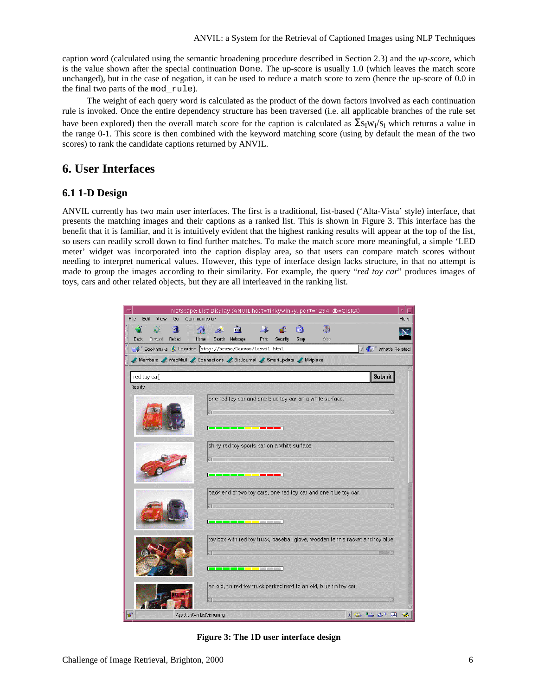caption word (calculated using the semantic broadening procedure described in Section 2.3) and the *up-score*, which is the value shown after the special continuation Done. The up-score is usually 1.0 (which leaves the match score unchanged), but in the case of negation, it can be used to reduce a match score to zero (hence the up-score of 0.0 in the final two parts of the mod\_rule).

The weight of each query word is calculated as the product of the down factors involved as each continuation rule is invoked. Once the entire dependency structure has been traversed (i.e. all applicable branches of the rule set have been explored) then the overall match score for the caption is calculated as  $\Sigma s_1w_i/s_i$  which returns a value in the range 0-1. This score is then combined with the keyword matching score (using by default the mean of the two scores) to rank the candidate captions returned by ANVIL.

# **6. User Interfaces**

# **6.1 1-D Design**

ANVIL currently has two main user interfaces. The first is a traditional, list-based ('Alta-Vista' style) interface, that presents the matching images and their captions as a ranked list. This is shown in Figure 3. This interface has the benefit that it is familiar, and it is intuitively evident that the highest ranking results will appear at the top of the list, so users can readily scroll down to find further matches. To make the match score more meaningful, a simple 'LED meter' widget was incorporated into the caption display area, so that users can compare match scores without needing to interpret numerical values. However, this type of interface design lacks structure, in that no attempt is made to group the images according to their similarity. For example, the query "*red toy car*" produces images of toys, cars and other related objects, but they are all interleaved in the ranking list.



**Figure 3: The 1D user interface design**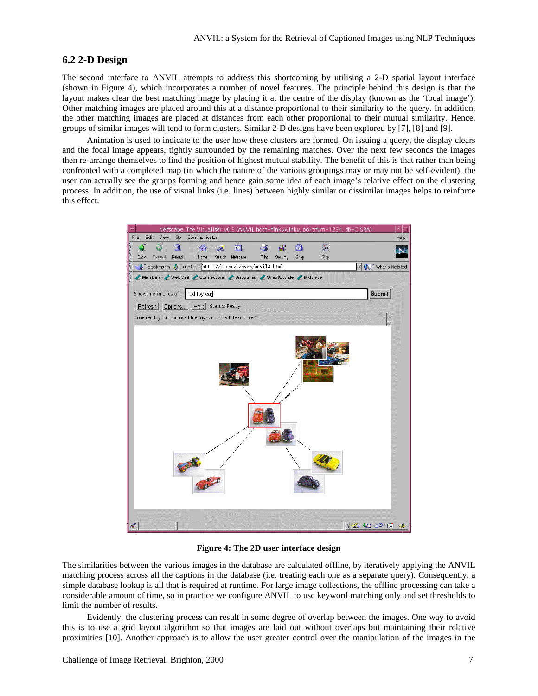## **6.2 2-D Design**

The second interface to ANVIL attempts to address this shortcoming by utilising a 2-D spatial layout interface (shown in Figure 4), which incorporates a number of novel features. The principle behind this design is that the layout makes clear the best matching image by placing it at the centre of the display (known as the 'focal image'). Other matching images are placed around this at a distance proportional to their similarity to the query. In addition, the other matching images are placed at distances from each other proportional to their mutual similarity. Hence, groups of similar images will tend to form clusters. Similar 2-D designs have been explored by [7], [8] and [9].

Animation is used to indicate to the user how these clusters are formed. On issuing a query, the display clears and the focal image appears, tightly surrounded by the remaining matches. Over the next few seconds the images then re-arrange themselves to find the position of highest mutual stability. The benefit of this is that rather than being confronted with a completed map (in which the nature of the various groupings may or may not be self-evident), the user can actually see the groups forming and hence gain some idea of each image's relative effect on the clustering process. In addition, the use of visual links (i.e. lines) between highly similar or dissimilar images helps to reinforce this effect.



**Figure 4: The 2D user interface design**

The similarities between the various images in the database are calculated offline, by iteratively applying the ANVIL matching process across all the captions in the database (i.e. treating each one as a separate query). Consequently, a simple database lookup is all that is required at runtime. For large image collections, the offline processing can take a considerable amount of time, so in practice we configure ANVIL to use keyword matching only and set thresholds to limit the number of results.

Evidently, the clustering process can result in some degree of overlap between the images. One way to avoid this is to use a grid layout algorithm so that images are laid out without overlaps but maintaining their relative proximities [10]. Another approach is to allow the user greater control over the manipulation of the images in the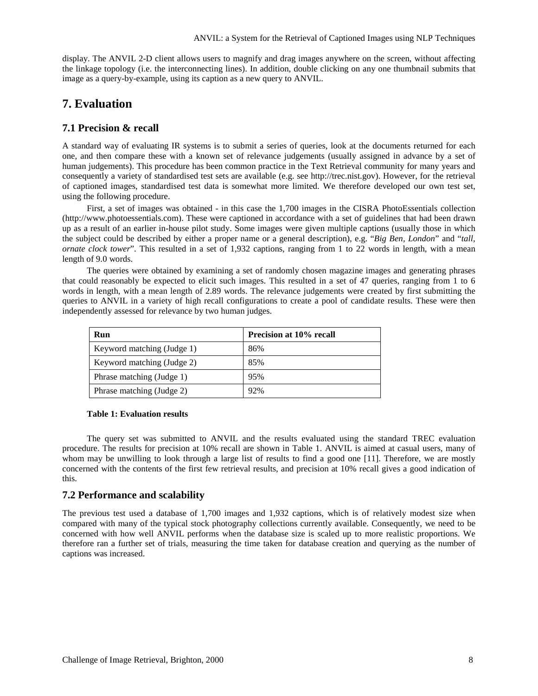display. The ANVIL 2-D client allows users to magnify and drag images anywhere on the screen, without affecting the linkage topology (i.e. the interconnecting lines). In addition, double clicking on any one thumbnail submits that image as a query-by-example, using its caption as a new query to ANVIL.

# **7. Evaluation**

## **7.1 Precision & recall**

A standard way of evaluating IR systems is to submit a series of queries, look at the documents returned for each one, and then compare these with a known set of relevance judgements (usually assigned in advance by a set of human judgements). This procedure has been common practice in the Text Retrieval community for many years and consequently a variety of standardised test sets are available (e.g. see http://trec.nist.gov). However, for the retrieval of captioned images, standardised test data is somewhat more limited. We therefore developed our own test set, using the following procedure.

First, a set of images was obtained - in this case the 1,700 images in the CISRA PhotoEssentials collection (http://www.photoessentials.com). These were captioned in accordance with a set of guidelines that had been drawn up as a result of an earlier in-house pilot study. Some images were given multiple captions (usually those in which the subject could be described by either a proper name or a general description), e.g. "*Big Ben, London*" and "*tall, ornate clock tower*". This resulted in a set of 1,932 captions, ranging from 1 to 22 words in length, with a mean length of 9.0 words.

The queries were obtained by examining a set of randomly chosen magazine images and generating phrases that could reasonably be expected to elicit such images. This resulted in a set of 47 queries, ranging from 1 to 6 words in length, with a mean length of 2.89 words. The relevance judgements were created by first submitting the queries to ANVIL in a variety of high recall configurations to create a pool of candidate results. These were then independently assessed for relevance by two human judges.

| Run                        | Precision at 10% recall |
|----------------------------|-------------------------|
| Keyword matching (Judge 1) | 86%                     |
| Keyword matching (Judge 2) | 85%                     |
| Phrase matching (Judge 1)  | 95%                     |
| Phrase matching (Judge 2)  | 92%                     |

#### **Table 1: Evaluation results**

The query set was submitted to ANVIL and the results evaluated using the standard TREC evaluation procedure. The results for precision at 10% recall are shown in Table 1. ANVIL is aimed at casual users, many of whom may be unwilling to look through a large list of results to find a good one [11]. Therefore, we are mostly concerned with the contents of the first few retrieval results, and precision at 10% recall gives a good indication of this.

## **7.2 Performance and scalability**

The previous test used a database of 1,700 images and 1,932 captions, which is of relatively modest size when compared with many of the typical stock photography collections currently available. Consequently, we need to be concerned with how well ANVIL performs when the database size is scaled up to more realistic proportions. We therefore ran a further set of trials, measuring the time taken for database creation and querying as the number of captions was increased.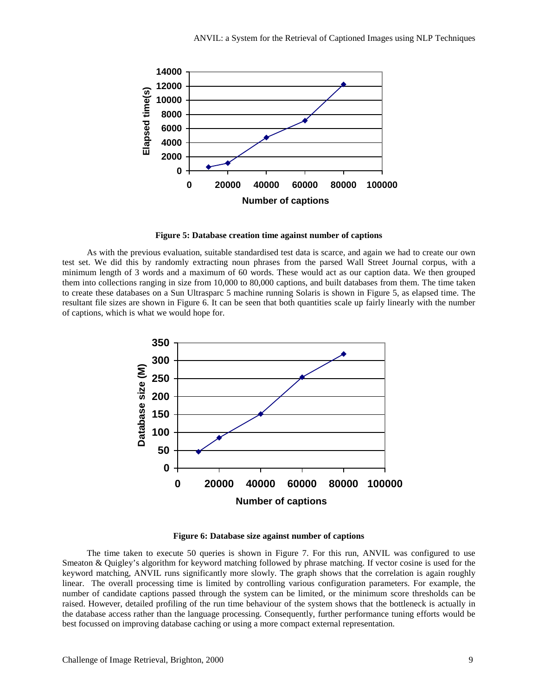

**Figure 5: Database creation time against number of captions**

As with the previous evaluation, suitable standardised test data is scarce, and again we had to create our own test set. We did this by randomly extracting noun phrases from the parsed Wall Street Journal corpus, with a minimum length of 3 words and a maximum of 60 words. These would act as our caption data. We then grouped them into collections ranging in size from 10,000 to 80,000 captions, and built databases from them. The time taken to create these databases on a Sun Ultrasparc 5 machine running Solaris is shown in Figure 5, as elapsed time. The resultant file sizes are shown in Figure 6. It can be seen that both quantities scale up fairly linearly with the number of captions, which is what we would hope for.



**Figure 6: Database size against number of captions**

The time taken to execute 50 queries is shown in Figure 7. For this run, ANVIL was configured to use Smeaton & Quigley's algorithm for keyword matching followed by phrase matching. If vector cosine is used for the keyword matching, ANVIL runs significantly more slowly. The graph shows that the correlation is again roughly linear. The overall processing time is limited by controlling various configuration parameters. For example, the number of candidate captions passed through the system can be limited, or the minimum score thresholds can be raised. However, detailed profiling of the run time behaviour of the system shows that the bottleneck is actually in the database access rather than the language processing. Consequently, further performance tuning efforts would be best focussed on improving database caching or using a more compact external representation.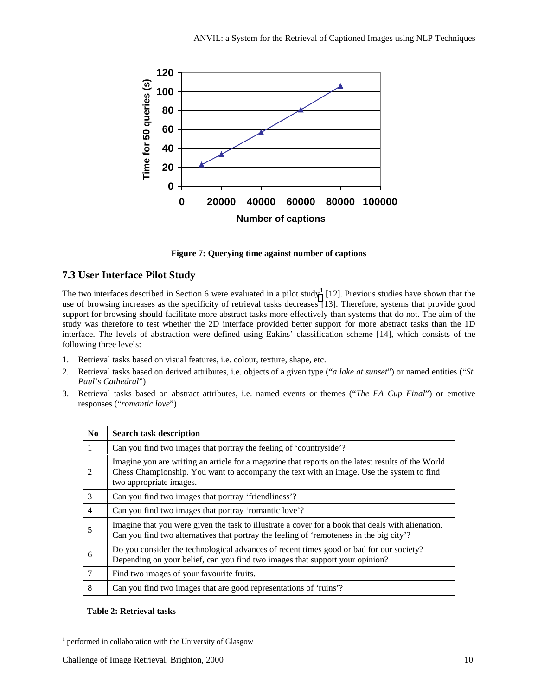

**Figure 7: Querying time against number of captions**

# **7.3 User Interface Pilot Study**

The two interfaces described in Section 6 were evaluated in a pilot study<sup>1</sup> [12]. Previous studies have shown that the use of browsing increases as the specificity of retrieval tasks decreases [13]. Therefore, systems that provide good support for browsing should facilitate more abstract tasks more effectively than systems that do not. The aim of the study was therefore to test whether the 2D interface provided better support for more abstract tasks than the 1D interface. The levels of abstraction were defined using Eakins' classification scheme [14], which consists of the following three levels:

- 1. Retrieval tasks based on visual features, i.e. colour, texture, shape, etc.
- 2. Retrieval tasks based on derived attributes, i.e. objects of a given type ("*a lake at sunset*") or named entities ("*St. Paul's Cathedral*")
- 3. Retrieval tasks based on abstract attributes, i.e. named events or themes ("*The FA Cup Final*") or emotive responses ("*romantic love*")

| N <sub>0</sub> | <b>Search task description</b>                                                                                                                                                                                           |
|----------------|--------------------------------------------------------------------------------------------------------------------------------------------------------------------------------------------------------------------------|
|                | Can you find two images that portray the feeling of 'countryside'?                                                                                                                                                       |
| 2              | Imagine you are writing an article for a magazine that reports on the latest results of the World<br>Chess Championship. You want to accompany the text with an image. Use the system to find<br>two appropriate images. |
| 3              | Can you find two images that portray 'friendliness'?                                                                                                                                                                     |
| $\overline{4}$ | Can you find two images that portray 'romantic love'?                                                                                                                                                                    |
| 5              | Imagine that you were given the task to illustrate a cover for a book that deals with alienation.<br>Can you find two alternatives that portray the feeling of 'remoteness in the big city'?                             |
| 6              | Do you consider the technological advances of recent times good or bad for our society?<br>Depending on your belief, can you find two images that support your opinion?                                                  |
| 7              | Find two images of your favourite fruits.                                                                                                                                                                                |
| 8              | Can you find two images that are good representations of 'ruins'?                                                                                                                                                        |

## **Table 2: Retrieval tasks**

l

<sup>1</sup> performed in collaboration with the University of Glasgow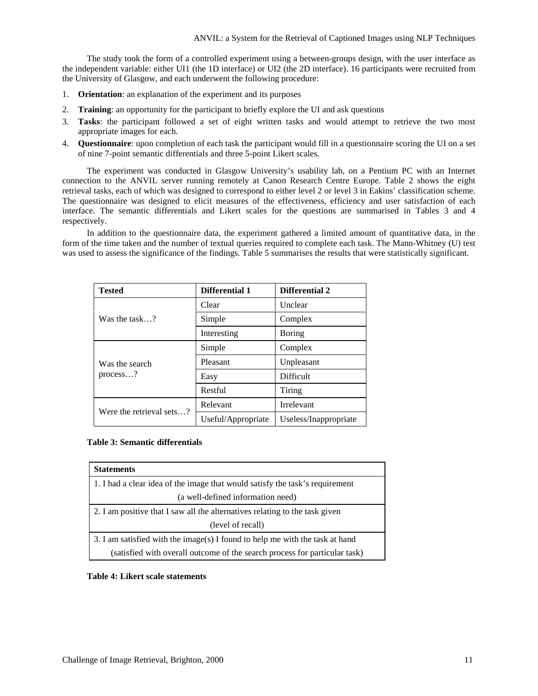The study took the form of a controlled experiment using a between-groups design, with the user interface as the independent variable: either UI1 (the 1D interface) or UI2 (the 2D interface). 16 participants were recruited from the University of Glasgow, and each underwent the following procedure:

- 1. **Orientation**: an explanation of the experiment and its purposes
- 2. **Training**: an opportunity for the participant to briefly explore the UI and ask questions
- 3. **Tasks**: the participant followed a set of eight written tasks and would attempt to retrieve the two most appropriate images for each.
- 4. **Questionnaire**: upon completion of each task the participant would fill in a questionnaire scoring the UI on a set of nine 7-point semantic differentials and three 5-point Likert scales.

The experiment was conducted in Glasgow University's usability lab, on a Pentium PC with an Internet connection to the ANVIL server running remotely at Canon Research Centre Europe. Table 2 shows the eight retrieval tasks, each of which was designed to correspond to either level 2 or level 3 in Eakins' classification scheme. The questionnaire was designed to elicit measures of the effectiveness, efficiency and user satisfaction of each interface. The semantic differentials and Likert scales for the questions are summarised in Tables 3 and 4 respectively.

In addition to the questionnaire data, the experiment gathered a limited amount of quantitative data, in the form of the time taken and the number of textual queries required to complete each task. The Mann-Whitney (U) test was used to assess the significance of the findings. Table 5 summarises the results that were statistically significant.

| <b>Tested</b>              | <b>Differential 1</b> | <b>Differential 2</b> |
|----------------------------|-----------------------|-----------------------|
|                            | Clear                 | Unclear               |
| Was the task?              | Simple                | Complex               |
|                            | Interesting           | Boring                |
| Was the search<br>process? | Simple                | Complex               |
|                            | Pleasant              | Unpleasant            |
|                            | Easy                  | <b>Difficult</b>      |
|                            | Restful               | Tiring                |
| Were the retrieval sets?   | Relevant              | Irrelevant            |
|                            | Useful/Appropriate    | Useless/Inappropriate |

## **Table 3: Semantic differentials**

| <b>Statements</b>                                                            |  |  |
|------------------------------------------------------------------------------|--|--|
| 1. I had a clear idea of the image that would satisfy the task's requirement |  |  |
| (a well-defined information need)                                            |  |  |
| 2. I am positive that I saw all the alternatives relating to the task given  |  |  |
| (level of recall)                                                            |  |  |
| 3. I am satisfied with the image(s) I found to help me with the task at hand |  |  |
| (satisfied with overall outcome of the search process for particular task)   |  |  |

## **Table 4: Likert scale statements**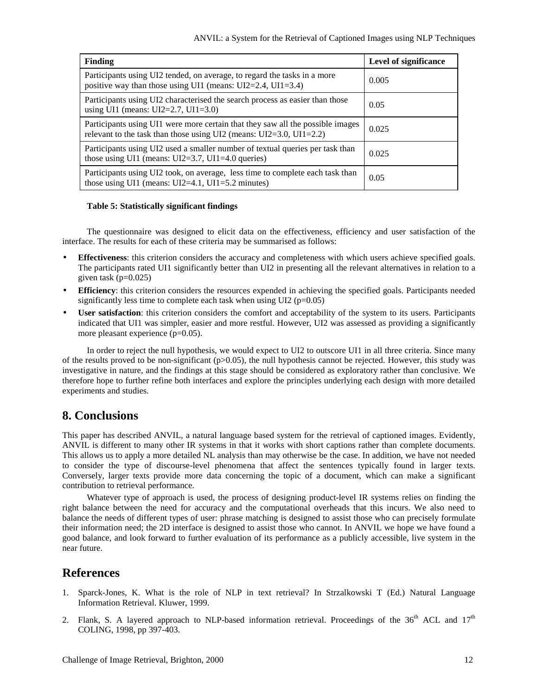| Finding                                                                                                                                                     | Level of significance |
|-------------------------------------------------------------------------------------------------------------------------------------------------------------|-----------------------|
| Participants using UI2 tended, on average, to regard the tasks in a more<br>positive way than those using UI1 (means: $UI2=2.4$ , $UI1=3.4$ )               | 0.005                 |
| Participants using UI2 characterised the search process as easier than those<br>using UI1 (means: UI2=2.7, UI1=3.0)                                         | 0.05                  |
| Participants using UI1 were more certain that they saw all the possible images<br>relevant to the task than those using UI2 (means: $UI2=3.0$ , $UI1=2.2$ ) | 0.025                 |
| Participants using UI2 used a smaller number of textual queries per task than<br>those using UI1 (means: $UI2=3.7$ , UI1=4.0 queries)                       | 0.025                 |
| Participants using UI2 took, on average, less time to complete each task than<br>those using UI1 (means: $UI2=4.1$ , $UI1=5.2$ minutes)                     | 0.05                  |

## **Table 5: Statistically significant findings**

The questionnaire was designed to elicit data on the effectiveness, efficiency and user satisfaction of the interface. The results for each of these criteria may be summarised as follows:

- **Effectiveness**: this criterion considers the accuracy and completeness with which users achieve specified goals. The participants rated UI1 significantly better than UI2 in presenting all the relevant alternatives in relation to a given task ( $p=0.025$ )
- **Efficiency**: this criterion considers the resources expended in achieving the specified goals. Participants needed significantly less time to complete each task when using UI2 (p=0.05)
- **User satisfaction**: this criterion considers the comfort and acceptability of the system to its users. Participants indicated that UI1 was simpler, easier and more restful. However, UI2 was assessed as providing a significantly more pleasant experience (p=0.05).

In order to reject the null hypothesis, we would expect to UI2 to outscore UI1 in all three criteria. Since many of the results proved to be non-significant ( $p>0.05$ ), the null hypothesis cannot be rejected. However, this study was investigative in nature, and the findings at this stage should be considered as exploratory rather than conclusive. We therefore hope to further refine both interfaces and explore the principles underlying each design with more detailed experiments and studies.

# **8. Conclusions**

This paper has described ANVIL, a natural language based system for the retrieval of captioned images. Evidently, ANVIL is different to many other IR systems in that it works with short captions rather than complete documents. This allows us to apply a more detailed NL analysis than may otherwise be the case. In addition, we have not needed to consider the type of discourse-level phenomena that affect the sentences typically found in larger texts. Conversely, larger texts provide more data concerning the topic of a document, which can make a significant contribution to retrieval performance.

Whatever type of approach is used, the process of designing product-level IR systems relies on finding the right balance between the need for accuracy and the computational overheads that this incurs. We also need to balance the needs of different types of user: phrase matching is designed to assist those who can precisely formulate their information need; the 2D interface is designed to assist those who cannot. In ANVIL we hope we have found a good balance, and look forward to further evaluation of its performance as a publicly accessible, live system in the near future.

# **References**

- 1. Sparck-Jones, K. What is the role of NLP in text retrieval? In Strzalkowski T (Ed.) Natural Language Information Retrieval. Kluwer, 1999.
- 2. Flank, S. A layered approach to NLP-based information retrieval. Proceedings of the  $36<sup>th</sup>$  ACL and  $17<sup>th</sup>$ COLING, 1998, pp 397-403.